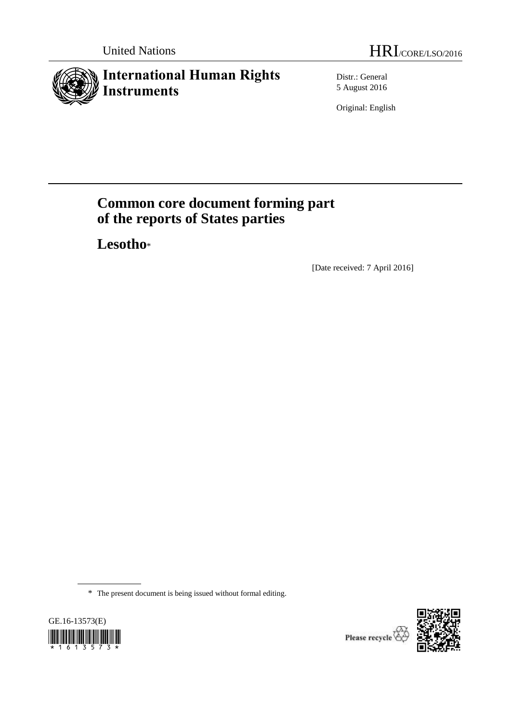# **International Human Rights Instruments**

Distr.: General 5 August 2016

Original: English

# **Common core document forming part of the reports of States parties**

**Lesotho**\*

[Date received: 7 April 2016]

\* The present document is being issued without formal editing.



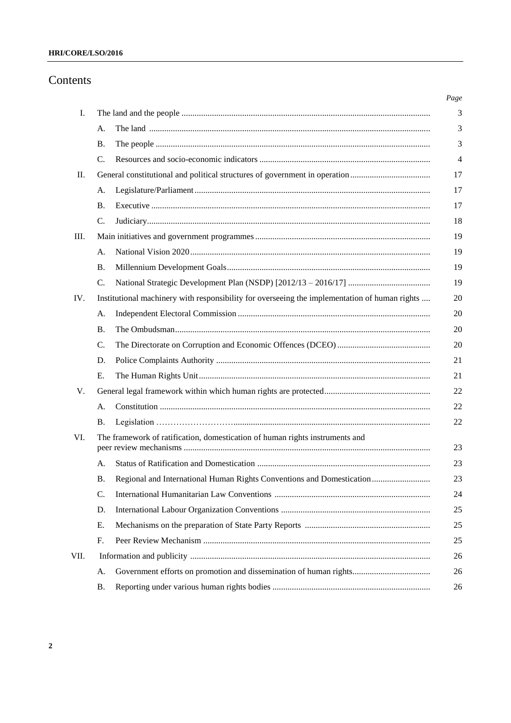# **HRI/CORE/LSO/2016**

# Contents

| I.   |                 |                                                                                               |
|------|-----------------|-----------------------------------------------------------------------------------------------|
|      | А.              |                                                                                               |
|      | Β.              |                                                                                               |
|      | $\mathcal{C}$ . |                                                                                               |
| П.   |                 |                                                                                               |
|      | А.              |                                                                                               |
|      | Β.              |                                                                                               |
|      | $\mathcal{C}$ . |                                                                                               |
| Ш.   |                 |                                                                                               |
|      | А.              |                                                                                               |
|      | <b>B.</b>       |                                                                                               |
|      | $\mathcal{C}$ . |                                                                                               |
| IV.  |                 | Institutional machinery with responsibility for overseeing the implementation of human rights |
|      | A.              |                                                                                               |
|      | Β.              |                                                                                               |
|      | C.              |                                                                                               |
|      | D.              |                                                                                               |
|      | E.              |                                                                                               |
| V.   |                 |                                                                                               |
|      | А.              |                                                                                               |
|      | Β.              |                                                                                               |
| VI.  |                 | The framework of ratification, domestication of human rights instruments and                  |
|      | А.              |                                                                                               |
|      | <b>B.</b>       | Regional and International Human Rights Conventions and Domestication                         |
|      | C.              |                                                                                               |
|      | D.              |                                                                                               |
|      | Е.              |                                                                                               |
|      | F.              |                                                                                               |
| VII. |                 |                                                                                               |
|      | A.              | Government efforts on promotion and dissemination of human rights                             |
|      | Β.              |                                                                                               |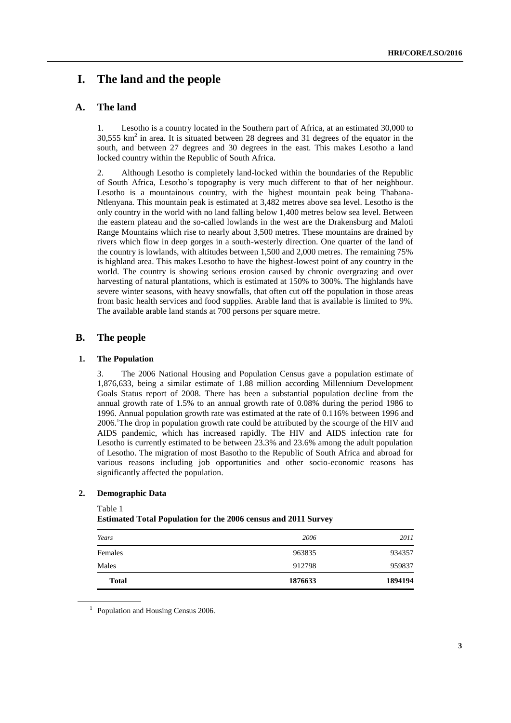# **I. The land and the people**

# **A. The land**

1. Lesotho is a country located in the Southern part of Africa, at an estimated 30,000 to  $30,555$  km<sup>2</sup> in area. It is situated between 28 degrees and 31 degrees of the equator in the south, and between 27 degrees and 30 degrees in the east. This makes Lesotho a land locked country within the Republic of South Africa.

2. Although Lesotho is completely land-locked within the boundaries of the Republic of South Africa, Lesotho's topography is very much different to that of her neighbour. Lesotho is a mountainous country, with the highest mountain peak being Thabana-Ntlenyana. This mountain peak is estimated at 3,482 metres above sea level. Lesotho is the only country in the world with no land falling below 1,400 metres below sea level. Between the eastern plateau and the so-called lowlands in the west are the Drakensburg and Maloti Range Mountains which rise to nearly about 3,500 metres. These mountains are drained by rivers which flow in deep gorges in a south-westerly direction. One quarter of the land of the country is lowlands, with altitudes between 1,500 and 2,000 metres. The remaining 75% is highland area. This makes Lesotho to have the highest-lowest point of any country in the world. The country is showing serious erosion caused by chronic overgrazing and over harvesting of natural plantations, which is estimated at 150% to 300%. The highlands have severe winter seasons, with heavy snowfalls, that often cut off the population in those areas from basic health services and food supplies. Arable land that is available is limited to 9%. The available arable land stands at 700 persons per square metre.

### **B. The people**

#### **1. The Population**

3. The 2006 National Housing and Population Census gave a population estimate of 1,876,633, being a similar estimate of 1.88 million according Millennium Development Goals Status report of 2008. There has been a substantial population decline from the annual growth rate of 1.5% to an annual growth rate of 0.08% during the period 1986 to 1996. Annual population growth rate was estimated at the rate of 0.116% between 1996 and 2006. <sup>1</sup>The drop in population growth rate could be attributed by the scourge of the HIV and AIDS pandemic, which has increased rapidly. The HIV and AIDS infection rate for Lesotho is currently estimated to be between 23.3% and 23.6% among the adult population of Lesotho. The migration of most Basotho to the Republic of South Africa and abroad for various reasons including job opportunities and other socio-economic reasons has significantly affected the population.

#### **2. Demographic Data**

Table 1

**Estimated Total Population for the 2006 census and 2011 Survey**

| Years        | 2006    | 2011    |
|--------------|---------|---------|
| Females      | 963835  | 934357  |
| Males        | 912798  | 959837  |
| <b>Total</b> | 1876633 | 1894194 |

<sup>1</sup> Population and Housing Census 2006.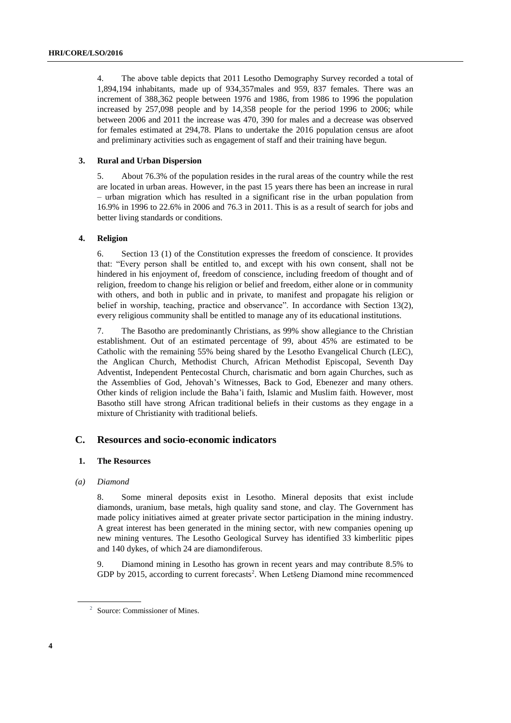4. The above table depicts that 2011 Lesotho Demography Survey recorded a total of 1,894,194 inhabitants, made up of 934,357males and 959, 837 females. There was an increment of 388,362 people between 1976 and 1986, from 1986 to 1996 the population increased by 257,098 people and by 14,358 people for the period 1996 to 2006; while between 2006 and 2011 the increase was 470, 390 for males and a decrease was observed for females estimated at 294,78. Plans to undertake the 2016 population census are afoot and preliminary activities such as engagement of staff and their training have begun.

#### **3. Rural and Urban Dispersion**

5. About 76.3% of the population resides in the rural areas of the country while the rest are located in urban areas. However, in the past 15 years there has been an increase in rural – urban migration which has resulted in a significant rise in the urban population from 16.9% in 1996 to 22.6% in 2006 and 76.3 in 2011. This is as a result of search for jobs and better living standards or conditions.

#### **4. Religion**

6. Section 13 (1) of the Constitution expresses the freedom of conscience. It provides that: "Every person shall be entitled to, and except with his own consent, shall not be hindered in his enjoyment of, freedom of conscience, including freedom of thought and of religion, freedom to change his religion or belief and freedom, either alone or in community with others, and both in public and in private, to manifest and propagate his religion or belief in worship, teaching, practice and observance". In accordance with Section 13(2), every religious community shall be entitled to manage any of its educational institutions.

7. The Basotho are predominantly Christians, as 99% show allegiance to the Christian establishment. Out of an estimated percentage of 99, about 45% are estimated to be Catholic with the remaining 55% being shared by the Lesotho Evangelical Church (LEC), the Anglican Church, Methodist Church, African Methodist Episcopal, Seventh Day Adventist, Independent Pentecostal Church, charismatic and born again Churches, such as the Assemblies of God, Jehovah's Witnesses, Back to God, Ebenezer and many others. Other kinds of religion include the Baha'i faith, Islamic and Muslim faith. However, most Basotho still have strong African traditional beliefs in their customs as they engage in a mixture of Christianity with traditional beliefs.

# **C. Resources and socio-economic indicators**

#### **1. The Resources**

#### *(a) Diamond*

8. Some mineral deposits exist in Lesotho. Mineral deposits that exist include diamonds, uranium, base metals, high quality sand stone, and clay. The Government has made policy initiatives aimed at greater private sector participation in the mining industry. A great interest has been generated in the mining sector, with new companies opening up new mining ventures. The Lesotho Geological Survey has identified 33 kimberlitic pipes and 140 dykes, of which 24 are diamondiferous.

9. Diamond mining in Lesotho has grown in recent years and may contribute 8.5% to GDP by 2015, according to current forecasts<sup>2</sup>. When Letšeng Diamond mine recommenced

<sup>2</sup> Source: Commissioner of Mines.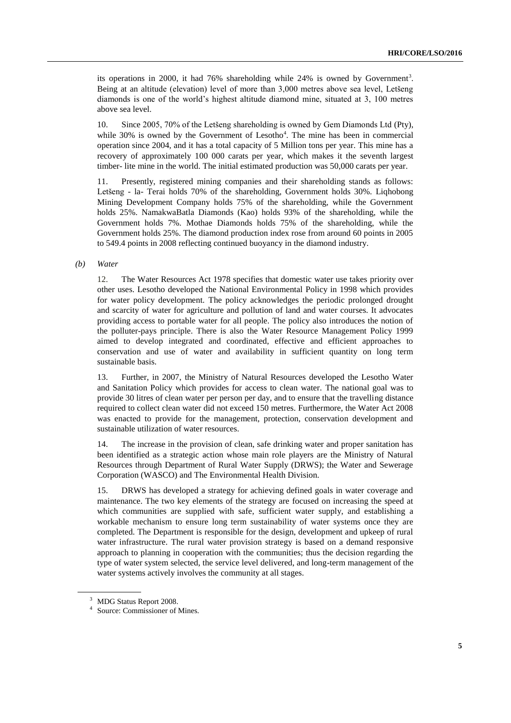its operations in 2000, it had  $76\%$  shareholding while 24% is owned by Government<sup>3</sup>. Being at an altitude (elevation) level of more than 3,000 metres above sea level, Letšeng diamonds is one of the world's highest altitude diamond mine, situated at 3, 100 metres above sea level.

10. Since 2005, 70% of the Letšeng shareholding is owned by Gem Diamonds Ltd (Pty), while  $30\%$  is owned by the Government of Lesotho<sup>4</sup>. The mine has been in commercial operation since 2004, and it has a total capacity of 5 Million tons per year. This mine has a recovery of approximately 100 000 carats per year, which makes it the seventh largest timber- lite mine in the world. The initial estimated production was 50,000 carats per year.

11. Presently, registered mining companies and their shareholding stands as follows: Letšeng - la- Terai holds 70% of the shareholding, Government holds 30%. Liqhobong Mining Development Company holds 75% of the shareholding, while the Government holds 25%. NamakwaBatla Diamonds (Kao) holds 93% of the shareholding, while the Government holds 7%. Mothae Diamonds holds 75% of the shareholding, while the Government holds 25%. The diamond production index rose from around 60 points in 2005 to 549.4 points in 2008 reflecting continued buoyancy in the diamond industry.

#### *(b) Water*

12. The Water Resources Act 1978 specifies that domestic water use takes priority over other uses. Lesotho developed the National Environmental Policy in 1998 which provides for water policy development. The policy acknowledges the periodic prolonged drought and scarcity of water for agriculture and pollution of land and water courses. It advocates providing access to portable water for all people. The policy also introduces the notion of the polluter-pays principle. There is also the Water Resource Management Policy 1999 aimed to develop integrated and coordinated, effective and efficient approaches to conservation and use of water and availability in sufficient quantity on long term sustainable basis.

13. Further, in 2007, the Ministry of Natural Resources developed the Lesotho Water and Sanitation Policy which provides for access to clean water. The national goal was to provide 30 litres of clean water per person per day, and to ensure that the travelling distance required to collect clean water did not exceed 150 metres. Furthermore, the Water Act 2008 was enacted to provide for the management, protection, conservation development and sustainable utilization of water resources.

14. The increase in the provision of clean, safe drinking water and proper sanitation has been identified as a strategic action whose main role players are the Ministry of Natural Resources through Department of Rural Water Supply (DRWS); the Water and Sewerage Corporation (WASCO) and The Environmental Health Division.

15. DRWS has developed a strategy for achieving defined goals in water coverage and maintenance. The two key elements of the strategy are focused on increasing the speed at which communities are supplied with safe, sufficient water supply, and establishing a workable mechanism to ensure long term sustainability of water systems once they are completed. The Department is responsible for the design, development and upkeep of rural water infrastructure. The rural water provision strategy is based on a demand responsive approach to planning in cooperation with the communities; thus the decision regarding the type of water system selected, the service level delivered, and long-term management of the water systems actively involves the community at all stages.

<sup>&</sup>lt;sup>3</sup> MDG Status Report 2008.

<sup>4</sup> Source: Commissioner of Mines.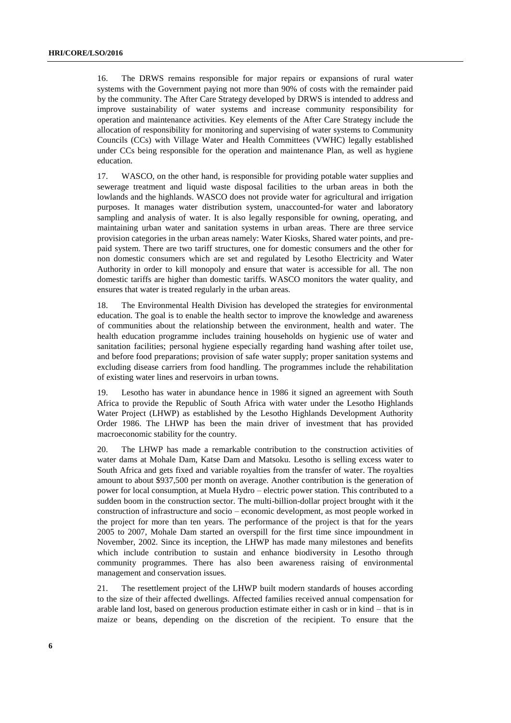16. The DRWS remains responsible for major repairs or expansions of rural water systems with the Government paying not more than 90% of costs with the remainder paid by the community. The After Care Strategy developed by DRWS is intended to address and improve sustainability of water systems and increase community responsibility for operation and maintenance activities. Key elements of the After Care Strategy include the allocation of responsibility for monitoring and supervising of water systems to Community Councils (CCs) with Village Water and Health Committees (VWHC) legally established under CCs being responsible for the operation and maintenance Plan, as well as hygiene education.

17. WASCO, on the other hand, is responsible for providing potable water supplies and sewerage treatment and liquid waste disposal facilities to the urban areas in both the lowlands and the highlands. WASCO does not provide water for agricultural and irrigation purposes. It manages water distribution system, unaccounted-for water and laboratory sampling and analysis of water. It is also legally responsible for owning, operating, and maintaining urban water and sanitation systems in urban areas. There are three service provision categories in the urban areas namely: Water Kiosks, Shared water points, and prepaid system. There are two tariff structures, one for domestic consumers and the other for non domestic consumers which are set and regulated by Lesotho Electricity and Water Authority in order to kill monopoly and ensure that water is accessible for all. The non domestic tariffs are higher than domestic tariffs. WASCO monitors the water quality, and ensures that water is treated regularly in the urban areas.

18. The Environmental Health Division has developed the strategies for environmental education. The goal is to enable the health sector to improve the knowledge and awareness of communities about the relationship between the environment, health and water. The health education programme includes training households on hygienic use of water and sanitation facilities; personal hygiene especially regarding hand washing after toilet use, and before food preparations; provision of safe water supply; proper sanitation systems and excluding disease carriers from food handling. The programmes include the rehabilitation of existing water lines and reservoirs in urban towns.

19. Lesotho has water in abundance hence in 1986 it signed an agreement with South Africa to provide the Republic of South Africa with water under the Lesotho Highlands Water Project (LHWP) as established by the Lesotho Highlands Development Authority Order 1986. The LHWP has been the main driver of investment that has provided macroeconomic stability for the country.

20. The LHWP has made a remarkable contribution to the construction activities of water dams at Mohale Dam, Katse Dam and Matsoku. Lesotho is selling excess water to South Africa and gets fixed and variable royalties from the transfer of water. The royalties amount to about \$937,500 per month on average. Another contribution is the generation of power for local consumption, at Muela Hydro – electric power station. This contributed to a sudden boom in the construction sector. The multi-billion-dollar project brought with it the construction of infrastructure and socio – economic development, as most people worked in the project for more than ten years. The performance of the project is that for the years 2005 to 2007, Mohale Dam started an overspill for the first time since impoundment in November, 2002. Since its inception, the LHWP has made many milestones and benefits which include contribution to sustain and enhance biodiversity in Lesotho through community programmes. There has also been awareness raising of environmental management and conservation issues.

21. The resettlement project of the LHWP built modern standards of houses according to the size of their affected dwellings. Affected families received annual compensation for arable land lost, based on generous production estimate either in cash or in kind – that is in maize or beans, depending on the discretion of the recipient. To ensure that the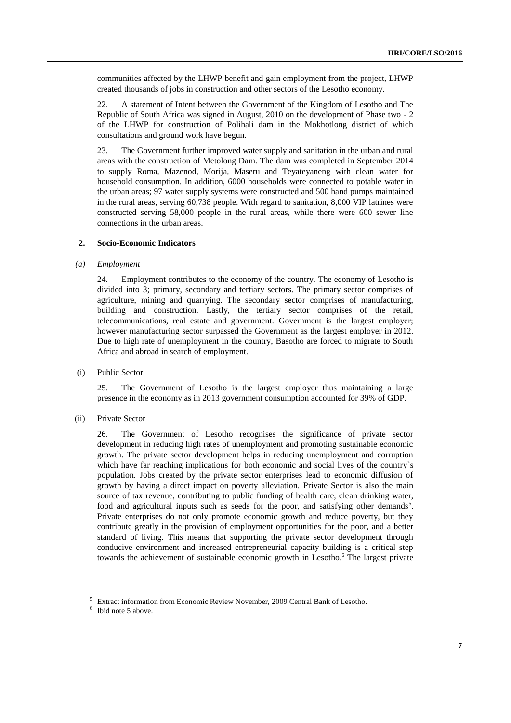communities affected by the LHWP benefit and gain employment from the project, LHWP created thousands of jobs in construction and other sectors of the Lesotho economy.

22. A statement of Intent between the Government of the Kingdom of Lesotho and The Republic of South Africa was signed in August, 2010 on the development of Phase two - 2 of the LHWP for construction of Polihali dam in the Mokhotlong district of which consultations and ground work have begun.

23. The Government further improved water supply and sanitation in the urban and rural areas with the construction of Metolong Dam. The dam was completed in September 2014 to supply Roma, Mazenod, Morija, Maseru and Teyateyaneng with clean water for household consumption. In addition, 6000 households were connected to potable water in the urban areas; 97 water supply systems were constructed and 500 hand pumps maintained in the rural areas, serving 60,738 people. With regard to sanitation, 8,000 VIP latrines were constructed serving 58,000 people in the rural areas, while there were 600 sewer line connections in the urban areas.

#### **2. Socio-Economic Indicators**

#### *(a) Employment*

24. Employment contributes to the economy of the country. The economy of Lesotho is divided into 3; primary, secondary and tertiary sectors. The primary sector comprises of agriculture, mining and quarrying. The secondary sector comprises of manufacturing, building and construction. Lastly, the tertiary sector comprises of the retail, telecommunications, real estate and government. Government is the largest employer; however manufacturing sector surpassed the Government as the largest employer in 2012. Due to high rate of unemployment in the country, Basotho are forced to migrate to South Africa and abroad in search of employment.

(i) Public Sector

25. The Government of Lesotho is the largest employer thus maintaining a large presence in the economy as in 2013 government consumption accounted for 39% of GDP.

(ii) Private Sector

26. The Government of Lesotho recognises the significance of private sector development in reducing high rates of unemployment and promoting sustainable economic growth. The private sector development helps in reducing unemployment and corruption which have far reaching implications for both economic and social lives of the country`s population. Jobs created by the private sector enterprises lead to economic diffusion of growth by having a direct impact on poverty alleviation. Private Sector is also the main source of tax revenue, contributing to public funding of health care, clean drinking water, food and agricultural inputs such as seeds for the poor, and satisfying other demands<sup>5</sup>. Private enterprises do not only promote economic growth and reduce poverty, but they contribute greatly in the provision of employment opportunities for the poor, and a better standard of living. This means that supporting the private sector development through conducive environment and increased entrepreneurial capacity building is a critical step towards the achievement of sustainable economic growth in Lesotho.<sup>6</sup> The largest private

<sup>5</sup> Extract information from Economic Review November, 2009 Central Bank of Lesotho.

<sup>&</sup>lt;sup>6</sup> Ibid note 5 above.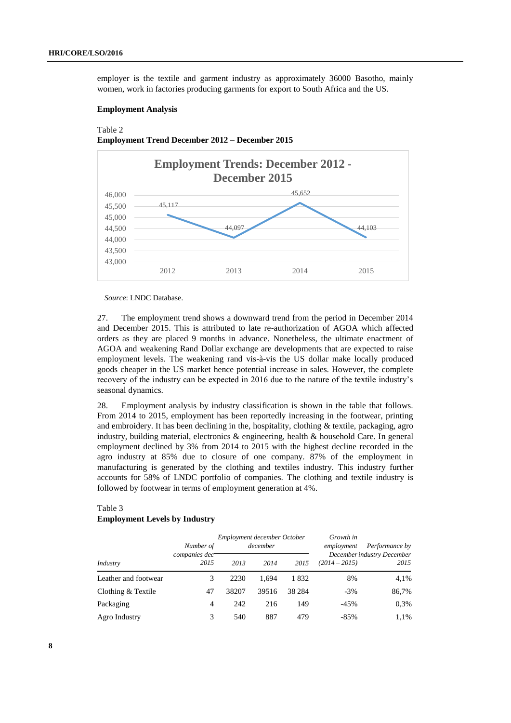employer is the textile and garment industry as approximately 36000 Basotho, mainly women, work in factories producing garments for export to South Africa and the US.

#### **Employment Analysis**

# Table 2 **Employment Trend December 2012 – December 2015**



*Source*: LNDC Database.

27. The employment trend shows a downward trend from the period in December 2014 and December 2015. This is attributed to late re-authorization of AGOA which affected orders as they are placed 9 months in advance. Nonetheless, the ultimate enactment of AGOA and weakening Rand Dollar exchange are developments that are expected to raise employment levels. The weakening rand vis-à-vis the US dollar make locally produced goods cheaper in the US market hence potential increase in sales. However, the complete recovery of the industry can be expected in 2016 due to the nature of the textile industry's seasonal dynamics.

28. Employment analysis by industry classification is shown in the table that follows. From 2014 to 2015, employment has been reportedly increasing in the footwear, printing and embroidery. It has been declining in the, hospitality, clothing  $&$  textile, packaging, agro industry, building material, electronics & engineering, health & household Care. In general employment declined by 3% from 2014 to 2015 with the highest decline recorded in the agro industry at 85% due to closure of one company. 87% of the employment in manufacturing is generated by the clothing and textiles industry. This industry further accounts for 58% of LNDC portfolio of companies. The clothing and textile industry is followed by footwear in terms of employment generation at 4%.

#### Table 3 **Employment Levels by Industry**

|                      | Number of                                     |       | Employment december October<br>december |         | Growth in<br>Performance by<br>employment<br>December industry December |       |  |
|----------------------|-----------------------------------------------|-------|-----------------------------------------|---------|-------------------------------------------------------------------------|-------|--|
| Industry             | companies dec<br>2015<br>2013<br>2014<br>2015 |       |                                         |         | $(2014 - 2015)$                                                         | 2015  |  |
| Leather and footwear | 3                                             | 2230  | 1.694                                   | 1832    | 8%                                                                      | 4,1%  |  |
| Clothing & Textile   | 47                                            | 38207 | 39516                                   | 38 2 84 | $-3%$                                                                   | 86,7% |  |
| Packaging            | 4                                             | 242   | 216                                     | 149     | $-45%$                                                                  | 0.3%  |  |
| Agro Industry        | 3                                             | 540   | 887                                     | 479     | $-85%$                                                                  | 1,1%  |  |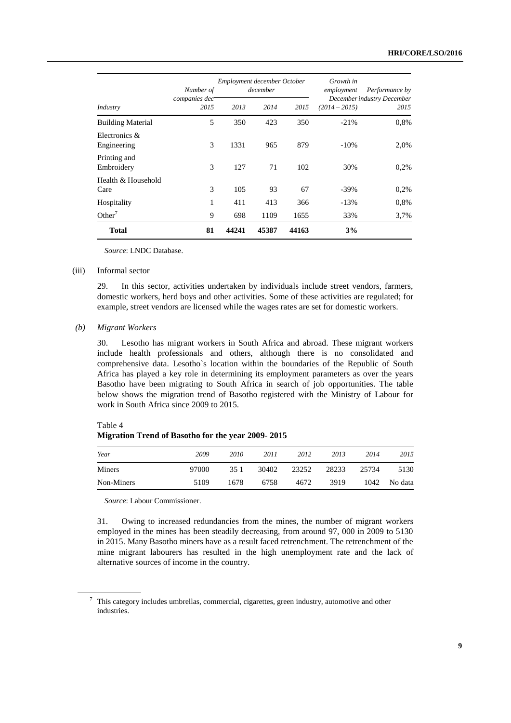|                              | Number of             | Employment december October | december |       | Growth in<br>employment | Performance by<br>December industry December<br>2015 |  |
|------------------------------|-----------------------|-----------------------------|----------|-------|-------------------------|------------------------------------------------------|--|
| Industry                     | companies dec<br>2015 | 2013                        | 2014     | 2015  | $(2014 - 2015)$         |                                                      |  |
| <b>Building Material</b>     | 5                     | 350                         | 423      | 350   | $-21%$                  | 0,8%                                                 |  |
| Electronics &<br>Engineering | 3                     | 1331                        | 965      | 879   | $-10\%$                 | 2,0%                                                 |  |
| Printing and<br>Embroidery   | 3                     | 127                         | 71       | 102   | 30%                     | 0.2%                                                 |  |
| Health & Household<br>Care   | 3                     | 105                         | 93       | 67    | $-39\%$                 | 0.2%                                                 |  |
| Hospitality                  | 1                     | 411                         | 413      | 366   | $-13%$                  | 0,8%                                                 |  |
| Other <sup>7</sup>           | 9                     | 698                         | 1109     | 1655  | 33%                     | 3,7%                                                 |  |
| <b>Total</b>                 | 81                    | 44241                       | 45387    | 44163 | 3%                      |                                                      |  |

*Source*: LNDC Database.

#### (iii) Informal sector

29. In this sector, activities undertaken by individuals include street vendors, farmers, domestic workers, herd boys and other activities. Some of these activities are regulated; for example, street vendors are licensed while the wages rates are set for domestic workers.

#### *(b) Migrant Workers*

30. Lesotho has migrant workers in South Africa and abroad. These migrant workers include health professionals and others, although there is no consolidated and comprehensive data. Lesotho`s location within the boundaries of the Republic of South Africa has played a key role in determining its employment parameters as over the years Basotho have been migrating to South Africa in search of job opportunities. The table below shows the migration trend of Basotho registered with the Ministry of Labour for work in South Africa since 2009 to 2015.

Table 4

#### **Migration Trend of Basotho for the year 2009- 2015**

| Year       | 2009  | 2010 | 2011  | 2012  | 2013  | 2014  | 2015    |
|------------|-------|------|-------|-------|-------|-------|---------|
| Miners     | 97000 | 351  | 30402 | 23252 | 28233 | 25734 | 5130    |
| Non-Miners | 5109  | 1678 | 6758  | 4672  | 3919  | 1042  | No data |

*Source*: Labour Commissioner.

31. Owing to increased redundancies from the mines, the number of migrant workers employed in the mines has been steadily decreasing, from around 97, 000 in 2009 to 5130 in 2015. Many Basotho miners have as a result faced retrenchment. The retrenchment of the mine migrant labourers has resulted in the high unemployment rate and the lack of alternative sources of income in the country.

<sup>&</sup>lt;sup>7</sup> This category includes umbrellas, commercial, cigarettes, green industry, automotive and other industries.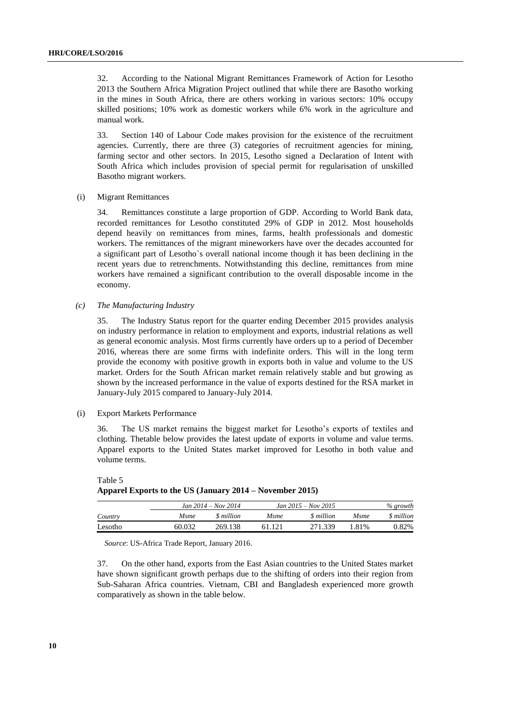32. According to the National Migrant Remittances Framework of Action for Lesotho 2013 the Southern Africa Migration Project outlined that while there are Basotho working in the mines in South Africa, there are others working in various sectors: 10% occupy skilled positions; 10% work as domestic workers while 6% work in the agriculture and manual work.

33. Section 140 of Labour Code makes provision for the existence of the recruitment agencies. Currently, there are three (3) categories of recruitment agencies for mining, farming sector and other sectors. In 2015, Lesotho signed a Declaration of Intent with South Africa which includes provision of special permit for regularisation of unskilled Basotho migrant workers.

#### (i) Migrant Remittances

34. Remittances constitute a large proportion of GDP. According to World Bank data, recorded remittances for Lesotho constituted 29% of GDP in 2012. Most households depend heavily on remittances from mines, farms, health professionals and domestic workers. The remittances of the migrant mineworkers have over the decades accounted for a significant part of Lesotho`s overall national income though it has been declining in the recent years due to retrenchments. Notwithstanding this decline, remittances from mine workers have remained a significant contribution to the overall disposable income in the economy.

*(c) The Manufacturing Industry*

35. The Industry Status report for the quarter ending December 2015 provides analysis on industry performance in relation to employment and exports, industrial relations as well as general economic analysis. Most firms currently have orders up to a period of December 2016, whereas there are some firms with indefinite orders. This will in the long term provide the economy with positive growth in exports both in value and volume to the US market. Orders for the South African market remain relatively stable and but growing as shown by the increased performance in the value of exports destined for the RSA market in January-July 2015 compared to January-July 2014.

#### (i) Export Markets Performance

36. The US market remains the biggest market for Lesotho's exports of textiles and clothing. Thetable below provides the latest update of exports in volume and value terms. Apparel exports to the United States market improved for Lesotho in both value and volume terms.

|         |        | <i>Jan</i> $2014 - Nov 2014$ |             | $Jan 2015 - Nov 2015$ | $\%$ growth |            |  |
|---------|--------|------------------------------|-------------|-----------------------|-------------|------------|--|
| Country | Msme   | <i>S</i> million             | <i>Msme</i> | \$ million            | <i>Msme</i> | \$ million |  |
| Lesotho | 60.032 | 269.138                      | 61 121      | 271.339               | 1.81%       | 0.82%      |  |

Table 5 **Apparel Exports to the US (January 2014 – November 2015)** 

*Source*: US-Africa Trade Report, January 2016.

37. On the other hand, exports from the East Asian countries to the United States market have shown significant growth perhaps due to the shifting of orders into their region from Sub-Saharan Africa countries. Vietnam, CBI and Bangladesh experienced more growth comparatively as shown in the table below.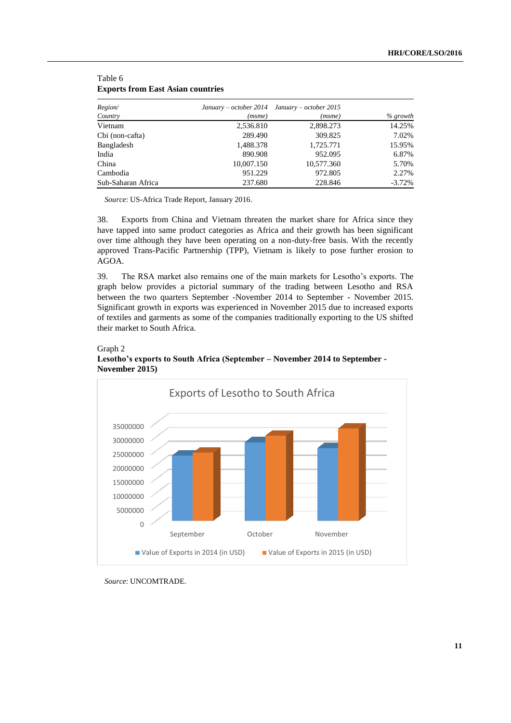| Region/            | January – october 2014 January – october 2015 |            |            |
|--------------------|-----------------------------------------------|------------|------------|
| Country            | (msme)                                        | (msme)     | $%$ growth |
| Vietnam            | 2,536.810                                     | 2,898.273  | 14.25%     |
| Cbi (non-cafta)    | 289.490                                       | 309.825    | 7.02%      |
| Bangladesh         | 1,488.378                                     | 1,725.771  | 15.95%     |
| India              | 890.908                                       | 952.095    | 6.87%      |
| China              | 10,007.150                                    | 10,577.360 | 5.70%      |
| Cambodia           | 951.229                                       | 972.805    | 2.27%      |
| Sub-Saharan Africa | 237.680                                       | 228.846    | $-3.72%$   |

#### Table 6 **Exports from East Asian countries**

*Source*: US-Africa Trade Report, January 2016.

38. Exports from China and Vietnam threaten the market share for Africa since they have tapped into same product categories as Africa and their growth has been significant over time although they have been operating on a non-duty-free basis. With the recently approved Trans-Pacific Partnership (TPP), Vietnam is likely to pose further erosion to AGOA.

39. The RSA market also remains one of the main markets for Lesotho's exports. The graph below provides a pictorial summary of the trading between Lesotho and RSA between the two quarters September -November 2014 to September - November 2015. Significant growth in exports was experienced in November 2015 due to increased exports of textiles and garments as some of the companies traditionally exporting to the US shifted their market to South Africa.



### Graph 2 **Lesotho's exports to South Africa (September – November 2014 to September - November 2015)**

*Source*: UNCOMTRADE.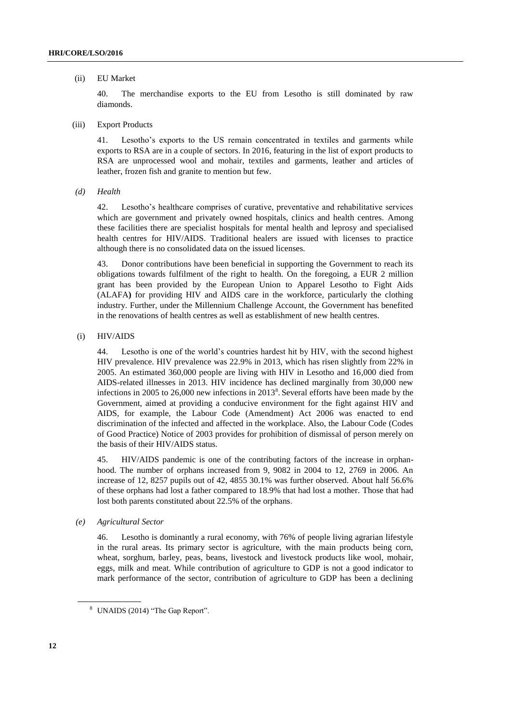#### (ii) EU Market

40. The merchandise exports to the EU from Lesotho is still dominated by raw diamonds.

(iii) Export Products

41. Lesotho's exports to the US remain concentrated in textiles and garments while exports to RSA are in a couple of sectors. In 2016, featuring in the list of export products to RSA are unprocessed wool and mohair, textiles and garments, leather and articles of leather, frozen fish and granite to mention but few.

*(d) Health*

42. Lesotho's healthcare comprises of curative, preventative and rehabilitative services which are government and privately owned hospitals, clinics and health centres. Among these facilities there are specialist hospitals for mental health and leprosy and specialised health centres for HIV/AIDS. Traditional healers are issued with licenses to practice although there is no consolidated data on the issued licenses.

43. Donor contributions have been beneficial in supporting the Government to reach its obligations towards fulfilment of the right to health. On the foregoing, a EUR 2 million grant has been provided by the European Union to Apparel Lesotho to Fight Aids (ALAFA**)** for providing HIV and AIDS care in the workforce, particularly the clothing industry. Further, under the Millennium Challenge Account, the Government has benefited in the renovations of health centres as well as establishment of new health centres.

(i) HIV/AIDS

44. Lesotho is one of the world's countries hardest hit by HIV, with the second highest HIV prevalence. HIV prevalence was 22.9% in 2013, which has risen slightly from 22% in 2005. An estimated 360,000 people are living with HIV in Lesotho and 16,000 died from AIDS-related illnesses in 2013. HIV incidence has declined marginally from 30,000 new infections in 2005 to 26,000 new infections in  $2013<sup>8</sup>$ . Several efforts have been made by the Government, aimed at providing a conducive environment for the fight against HIV and AIDS, for example, the Labour Code (Amendment) Act 2006 was enacted to end discrimination of the infected and affected in the workplace. Also, the Labour Code (Codes of Good Practice) Notice of 2003 provides for prohibition of dismissal of person merely on the basis of their HIV/AIDS status.

45. HIV/AIDS pandemic is one of the contributing factors of the increase in orphanhood. The number of orphans increased from 9, 9082 in 2004 to 12, 2769 in 2006. An increase of 12, 8257 pupils out of 42, 4855 30.1% was further observed. About half 56.6% of these orphans had lost a father compared to 18.9% that had lost a mother. Those that had lost both parents constituted about 22.5% of the orphans.

#### *(e) Agricultural Sector*

46. Lesotho is dominantly a rural economy, with 76% of people living agrarian lifestyle in the rural areas. Its primary sector is agriculture, with the main products being corn, wheat, sorghum, barley, peas, beans, livestock and livestock products like wool, mohair, eggs, milk and meat. While contribution of agriculture to GDP is not a good indicator to mark performance of the sector, contribution of agriculture to GDP has been a declining

<sup>8</sup> UNAIDS (2014) "The Gap Report".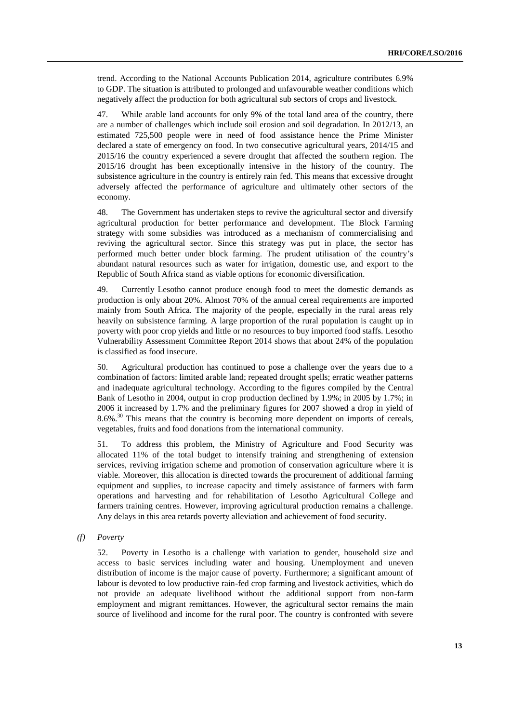trend. According to the National Accounts Publication 2014, agriculture contributes 6.9% to GDP. The situation is attributed to prolonged and unfavourable weather conditions which negatively affect the production for both agricultural sub sectors of crops and livestock.

47. While arable land accounts for only 9% of the total land area of the country, there are a number of challenges which include soil erosion and soil degradation. In 2012/13, an estimated 725,500 people were in need of food assistance hence the Prime Minister declared a state of emergency on food. In two consecutive agricultural years, 2014/15 and 2015/16 the country experienced a severe drought that affected the southern region. The 2015/16 drought has been exceptionally intensive in the history of the country. The subsistence agriculture in the country is entirely rain fed. This means that excessive drought adversely affected the performance of agriculture and ultimately other sectors of the economy.

48. The Government has undertaken steps to revive the agricultural sector and diversify agricultural production for better performance and development. The Block Farming strategy with some subsidies was introduced as a mechanism of commercialising and reviving the agricultural sector. Since this strategy was put in place, the sector has performed much better under block farming. The prudent utilisation of the country's abundant natural resources such as water for irrigation, domestic use, and export to the Republic of South Africa stand as viable options for economic diversification.

49. Currently Lesotho cannot produce enough food to meet the domestic demands as production is only about 20%. Almost 70% of the annual cereal requirements are imported mainly from South Africa. The majority of the people, especially in the rural areas rely heavily on subsistence farming. A large proportion of the rural population is caught up in poverty with poor crop yields and little or no resources to buy imported food staffs. Lesotho Vulnerability Assessment Committee Report 2014 shows that about 24% of the population is classified as food insecure.

50. Agricultural production has continued to pose a challenge over the years due to a combination of factors: limited arable land; repeated drought spells; erratic weather patterns and inadequate agricultural technology. According to the figures compiled by the Central Bank of Lesotho in 2004, output in crop production declined by 1.9%; in 2005 by 1.7%; in 2006 it increased by 1.7% and the preliminary figures for 2007 showed a drop in yield of 8.6%.<sup>30</sup> This means that the country is becoming more dependent on imports of cereals, vegetables, fruits and food donations from the international community.

51. To address this problem, the Ministry of Agriculture and Food Security was allocated 11% of the total budget to intensify training and strengthening of extension services, reviving irrigation scheme and promotion of conservation agriculture where it is viable. Moreover, this allocation is directed towards the procurement of additional farming equipment and supplies, to increase capacity and timely assistance of farmers with farm operations and harvesting and for rehabilitation of Lesotho Agricultural College and farmers training centres. However, improving agricultural production remains a challenge. Any delays in this area retards poverty alleviation and achievement of food security.

*(f) Poverty*

52. Poverty in Lesotho is a challenge with variation to gender, household size and access to basic services including water and housing. Unemployment and uneven distribution of income is the major cause of poverty. Furthermore; a significant amount of labour is devoted to low productive rain-fed crop farming and livestock activities, which do not provide an adequate livelihood without the additional support from non-farm employment and migrant remittances. However, the agricultural sector remains the main source of livelihood and income for the rural poor. The country is confronted with severe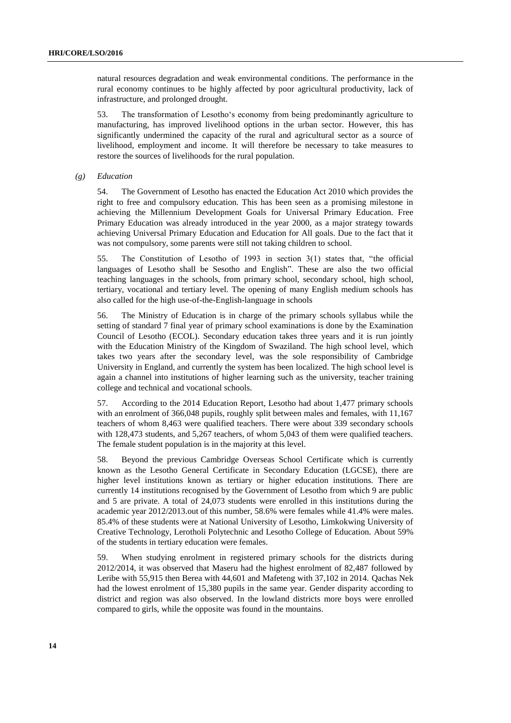natural resources degradation and weak environmental conditions. The performance in the rural economy continues to be highly affected by poor agricultural productivity, lack of infrastructure, and prolonged drought.

53. The transformation of Lesotho's economy from being predominantly agriculture to manufacturing, has improved livelihood options in the urban sector. However, this has significantly undermined the capacity of the rural and agricultural sector as a source of livelihood, employment and income. It will therefore be necessary to take measures to restore the sources of livelihoods for the rural population.

*(g) Education*

54. The Government of Lesotho has enacted the Education Act 2010 which provides the right to free and compulsory education. This has been seen as a promising milestone in achieving the Millennium Development Goals for Universal Primary Education. Free Primary Education was already introduced in the year 2000, as a major strategy towards achieving Universal Primary Education and Education for All goals. Due to the fact that it was not compulsory, some parents were still not taking children to school.

55. The Constitution of Lesotho of 1993 in section 3(1) states that, "the official languages of Lesotho shall be Sesotho and English". These are also the two official teaching languages in the schools, from primary school, secondary school, high school, tertiary, vocational and tertiary level. The opening of many English medium schools has also called for the high use-of-the-English-language in schools

56. The Ministry of Education is in charge of the primary schools syllabus while the setting of standard 7 final year of primary school examinations is done by the Examination Council of Lesotho (ECOL). Secondary education takes three years and it is run jointly with the Education Ministry of the Kingdom of Swaziland. The high school level, which takes two years after the secondary level, was the sole responsibility of Cambridge University in England, and currently the system has been localized. The high school level is again a channel into institutions of higher learning such as the university, teacher training college and technical and vocational schools.

57. According to the 2014 Education Report, Lesotho had about 1,477 primary schools with an enrolment of 366,048 pupils, roughly split between males and females, with 11,167 teachers of whom 8,463 were qualified teachers. There were about 339 secondary schools with 128,473 students, and 5,267 teachers, of whom 5,043 of them were qualified teachers. The female student population is in the majority at this level.

58. Beyond the previous Cambridge Overseas School Certificate which is currently known as the Lesotho General Certificate in Secondary Education (LGCSE), there are higher level institutions known as tertiary or higher education institutions. There are currently 14 institutions recognised by the Government of Lesotho from which 9 are public and 5 are private. A total of 24,073 students were enrolled in this institutions during the academic year 2012/2013.out of this number, 58.6% were females while 41.4% were males. 85.4% of these students were at National University of Lesotho, Limkokwing University of Creative Technology, Lerotholi Polytechnic and Lesotho College of Education. About 59% of the students in tertiary education were females.

59. When studying enrolment in registered primary schools for the districts during 2012/2014, it was observed that Maseru had the highest enrolment of 82,487 followed by Leribe with 55,915 then Berea with 44,601 and Mafeteng with 37,102 in 2014. Qachas Nek had the lowest enrolment of 15,380 pupils in the same year. Gender disparity according to district and region was also observed. In the lowland districts more boys were enrolled compared to girls, while the opposite was found in the mountains.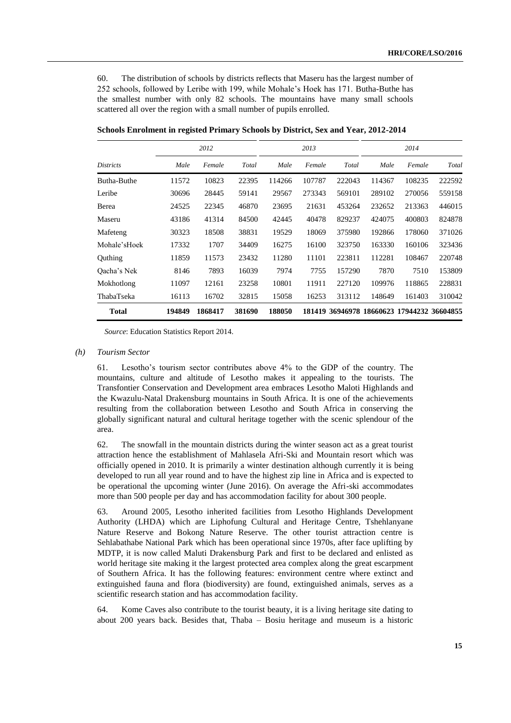60. The distribution of schools by districts reflects that Maseru has the largest number of 252 schools, followed by Leribe with 199, while Mohale's Hoek has 171. Butha-Buthe has the smallest number with only 82 schools. The mountains have many small schools scattered all over the region with a small number of pupils enrolled.

|                  | 2012   |         |        | 2013   |        |        | 2014   |                                            |        |
|------------------|--------|---------|--------|--------|--------|--------|--------|--------------------------------------------|--------|
| <i>Districts</i> | Male   | Female  | Total  | Male   | Female | Total  | Male   | Female                                     | Total  |
| Butha-Buthe      | 11572  | 10823   | 22395  | 114266 | 107787 | 222043 | 114367 | 108235                                     | 222592 |
| Leribe           | 30696  | 28445   | 59141  | 29567  | 273343 | 569101 | 289102 | 270056                                     | 559158 |
| Berea            | 24525  | 22345   | 46870  | 23695  | 21631  | 453264 | 232652 | 213363                                     | 446015 |
| Maseru           | 43186  | 41314   | 84500  | 42445  | 40478  | 829237 | 424075 | 400803                                     | 824878 |
| Mafeteng         | 30323  | 18508   | 38831  | 19529  | 18069  | 375980 | 192866 | 178060                                     | 371026 |
| Mohale'sHoek     | 17332  | 1707    | 34409  | 16275  | 16100  | 323750 | 163330 | 160106                                     | 323436 |
| Outhing          | 11859  | 11573   | 23432  | 11280  | 11101  | 223811 | 112281 | 108467                                     | 220748 |
| Oacha's Nek      | 8146   | 7893    | 16039  | 7974   | 7755   | 157290 | 7870   | 7510                                       | 153809 |
| Mokhotlong       | 11097  | 12161   | 23258  | 10801  | 11911  | 227120 | 109976 | 118865                                     | 228831 |
| ThabaTseka       | 16113  | 16702   | 32815  | 15058  | 16253  | 313112 | 148649 | 161403                                     | 310042 |
| <b>Total</b>     | 194849 | 1868417 | 381690 | 188050 |        |        |        | 181419 36946978 18660623 17944232 36604855 |        |

**Schools Enrolment in registed Primary Schools by District, Sex and Year, 2012-2014**

*Source*: Education Statistics Report 2014.

#### *(h) Tourism Sector*

61. Lesotho's tourism sector contributes above 4% to the GDP of the country. The mountains, culture and altitude of Lesotho makes it appealing to the tourists. The Transfontier Conservation and Development area embraces Lesotho Maloti Highlands and the Kwazulu-Natal Drakensburg mountains in South Africa. It is one of the achievements resulting from the collaboration between Lesotho and South Africa in conserving the globally significant natural and cultural heritage together with the scenic splendour of the area.

62. The snowfall in the mountain districts during the winter season act as a great tourist attraction hence the establishment of Mahlasela Afri-Ski and Mountain resort which was officially opened in 2010. It is primarily a winter destination although currently it is being developed to run all year round and to have the highest zip line in Africa and is expected to be operational the upcoming winter (June 2016). On average the Afri-ski accommodates more than 500 people per day and has accommodation facility for about 300 people.

63. Around 2005, Lesotho inherited facilities from Lesotho Highlands Development Authority (LHDA) which are Liphofung Cultural and Heritage Centre, Tshehlanyane Nature Reserve and Bokong Nature Reserve. The other tourist attraction centre is Sehlabathabe National Park which has been operational since 1970s, after face uplifting by MDTP, it is now called Maluti Drakensburg Park and first to be declared and enlisted as world heritage site making it the largest protected area complex along the great escarpment of Southern Africa. It has the following features: environment centre where extinct and extinguished fauna and flora (biodiversity) are found, extinguished animals, serves as a scientific research station and has accommodation facility.

64. Kome Caves also contribute to the tourist beauty, it is a living heritage site dating to about 200 years back. Besides that, Thaba – Bosiu heritage and museum is a historic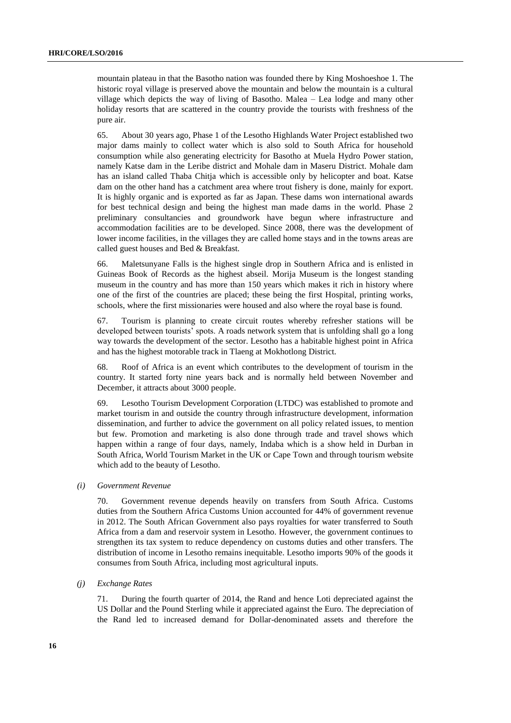mountain plateau in that the Basotho nation was founded there by King Moshoeshoe 1. The historic royal village is preserved above the mountain and below the mountain is a cultural village which depicts the way of living of Basotho. Malea – Lea lodge and many other holiday resorts that are scattered in the country provide the tourists with freshness of the pure air.

65. About 30 years ago, Phase 1 of the Lesotho Highlands Water Project established two major dams mainly to collect water which is also sold to South Africa for household consumption while also generating electricity for Basotho at Muela Hydro Power station, namely Katse dam in the Leribe district and Mohale dam in Maseru District. Mohale dam has an island called Thaba Chitja which is accessible only by helicopter and boat. Katse dam on the other hand has a catchment area where trout fishery is done, mainly for export. It is highly organic and is exported as far as Japan. These dams won international awards for best technical design and being the highest man made dams in the world. Phase 2 preliminary consultancies and groundwork have begun where infrastructure and accommodation facilities are to be developed. Since 2008, there was the development of lower income facilities, in the villages they are called home stays and in the towns areas are called guest houses and Bed & Breakfast.

66. Maletsunyane Falls is the highest single drop in Southern Africa and is enlisted in Guineas Book of Records as the highest abseil. Morija Museum is the longest standing museum in the country and has more than 150 years which makes it rich in history where one of the first of the countries are placed; these being the first Hospital, printing works, schools, where the first missionaries were housed and also where the royal base is found.

67. Tourism is planning to create circuit routes whereby refresher stations will be developed between tourists' spots. A roads network system that is unfolding shall go a long way towards the development of the sector. Lesotho has a habitable highest point in Africa and has the highest motorable track in Tlaeng at Mokhotlong District.

68. Roof of Africa is an event which contributes to the development of tourism in the country. It started forty nine years back and is normally held between November and December, it attracts about 3000 people.

69. Lesotho Tourism Development Corporation (LTDC) was established to promote and market tourism in and outside the country through infrastructure development, information dissemination, and further to advice the government on all policy related issues, to mention but few. Promotion and marketing is also done through trade and travel shows which happen within a range of four days, namely, Indaba which is a show held in Durban in South Africa, World Tourism Market in the UK or Cape Town and through tourism website which add to the beauty of Lesotho.

#### *(i) Government Revenue*

70. Government revenue depends heavily on transfers from South Africa. Customs duties from the Southern Africa Customs Union accounted for 44% of government revenue in 2012. The South African Government also pays royalties for water transferred to South Africa from a dam and reservoir system in Lesotho. However, the government continues to strengthen its tax system to reduce dependency on customs duties and other transfers. The distribution of income in Lesotho remains inequitable. Lesotho imports 90% of the goods it consumes from South Africa, including most agricultural inputs.

#### *(j) Exchange Rates*

71. During the fourth quarter of 2014, the Rand and hence Loti depreciated against the US Dollar and the Pound Sterling while it appreciated against the Euro. The depreciation of the Rand led to increased demand for Dollar-denominated assets and therefore the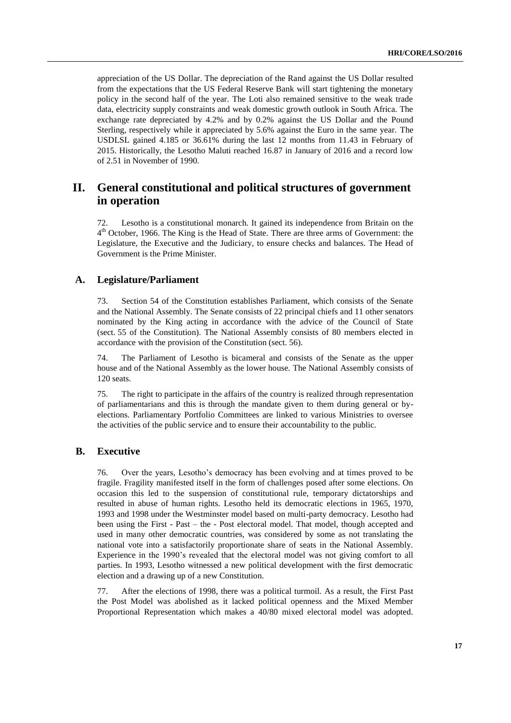appreciation of the US Dollar. The depreciation of the Rand against the US Dollar resulted from the expectations that the US Federal Reserve Bank will start tightening the monetary policy in the second half of the year. The Loti also remained sensitive to the weak trade data, electricity supply constraints and weak domestic growth outlook in South Africa. The exchange rate depreciated by 4.2% and by 0.2% against the US Dollar and the Pound Sterling, respectively while it appreciated by 5.6% against the Euro in the same year. The USDLSL gained 4.185 or 36.61% during the last 12 months from 11.43 in February of 2015. Historically, the Lesotho Maluti reached 16.87 in January of 2016 and a record low of 2.51 in November of 1990.

# **II. General constitutional and political structures of government in operation**

72. Lesotho is a constitutional monarch. It gained its independence from Britain on the 4<sup>th</sup> October, 1966. The King is the Head of State. There are three arms of Government: the Legislature, the Executive and the Judiciary, to ensure checks and balances. The Head of Government is the Prime Minister.

## **A. Legislature/Parliament**

73. Section 54 of the Constitution establishes Parliament, which consists of the Senate and the National Assembly. The Senate consists of 22 principal chiefs and 11 other senators nominated by the King acting in accordance with the advice of the Council of State (sect. 55 of the Constitution). The National Assembly consists of 80 members elected in accordance with the provision of the Constitution (sect. 56).

74. The Parliament of Lesotho is bicameral and consists of the Senate as the upper house and of the National Assembly as the lower house. The National Assembly consists of 120 seats.

75. The right to participate in the affairs of the country is realized through representation of parliamentarians and this is through the mandate given to them during general or byelections. Parliamentary Portfolio Committees are linked to various Ministries to oversee the activities of the public service and to ensure their accountability to the public.

# **B. Executive**

76. Over the years, Lesotho's democracy has been evolving and at times proved to be fragile. Fragility manifested itself in the form of challenges posed after some elections. On occasion this led to the suspension of constitutional rule, temporary dictatorships and resulted in abuse of human rights. Lesotho held its democratic elections in 1965, 1970, 1993 and 1998 under the Westminster model based on multi-party democracy. Lesotho had been using the First - Past – the - Post electoral model. That model, though accepted and used in many other democratic countries, was considered by some as not translating the national vote into a satisfactorily proportionate share of seats in the National Assembly. Experience in the 1990's revealed that the electoral model was not giving comfort to all parties. In 1993, Lesotho witnessed a new political development with the first democratic election and a drawing up of a new Constitution.

77. After the elections of 1998, there was a political turmoil. As a result, the First Past the Post Model was abolished as it lacked political openness and the Mixed Member Proportional Representation which makes a 40/80 mixed electoral model was adopted.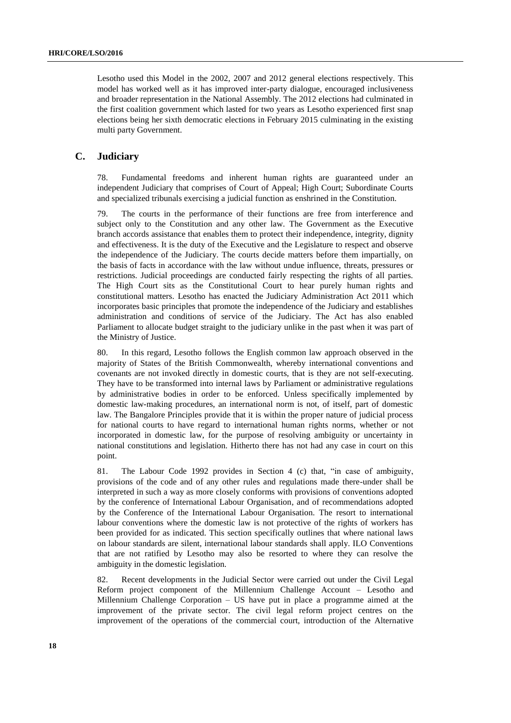Lesotho used this Model in the 2002, 2007 and 2012 general elections respectively. This model has worked well as it has improved inter-party dialogue, encouraged inclusiveness and broader representation in the National Assembly. The 2012 elections had culminated in the first coalition government which lasted for two years as Lesotho experienced first snap elections being her sixth democratic elections in February 2015 culminating in the existing multi party Government.

# **C. Judiciary**

78. Fundamental freedoms and inherent human rights are guaranteed under an independent Judiciary that comprises of Court of Appeal; High Court; Subordinate Courts and specialized tribunals exercising a judicial function as enshrined in the Constitution.

79. The courts in the performance of their functions are free from interference and subject only to the Constitution and any other law. The Government as the Executive branch accords assistance that enables them to protect their independence, integrity, dignity and effectiveness. It is the duty of the Executive and the Legislature to respect and observe the independence of the Judiciary. The courts decide matters before them impartially, on the basis of facts in accordance with the law without undue influence, threats, pressures or restrictions. Judicial proceedings are conducted fairly respecting the rights of all parties. The High Court sits as the Constitutional Court to hear purely human rights and constitutional matters. Lesotho has enacted the Judiciary Administration Act 2011 which incorporates basic principles that promote the independence of the Judiciary and establishes administration and conditions of service of the Judiciary. The Act has also enabled Parliament to allocate budget straight to the judiciary unlike in the past when it was part of the Ministry of Justice.

80. In this regard, Lesotho follows the English common law approach observed in the majority of States of the British Commonwealth, whereby international conventions and covenants are not invoked directly in domestic courts, that is they are not self-executing. They have to be transformed into internal laws by Parliament or administrative regulations by administrative bodies in order to be enforced. Unless specifically implemented by domestic law-making procedures, an international norm is not, of itself, part of domestic law. The Bangalore Principles provide that it is within the proper nature of judicial process for national courts to have regard to international human rights norms, whether or not incorporated in domestic law, for the purpose of resolving ambiguity or uncertainty in national constitutions and legislation. Hitherto there has not had any case in court on this point.

81. The Labour Code 1992 provides in Section 4 (c) that, "in case of ambiguity, provisions of the code and of any other rules and regulations made there-under shall be interpreted in such a way as more closely conforms with provisions of conventions adopted by the conference of International Labour Organisation, and of recommendations adopted by the Conference of the International Labour Organisation. The resort to international labour conventions where the domestic law is not protective of the rights of workers has been provided for as indicated. This section specifically outlines that where national laws on labour standards are silent, international labour standards shall apply. ILO Conventions that are not ratified by Lesotho may also be resorted to where they can resolve the ambiguity in the domestic legislation.

82. Recent developments in the Judicial Sector were carried out under the Civil Legal Reform project component of the Millennium Challenge Account – Lesotho and Millennium Challenge Corporation – US have put in place a programme aimed at the improvement of the private sector. The civil legal reform project centres on the improvement of the operations of the commercial court, introduction of the Alternative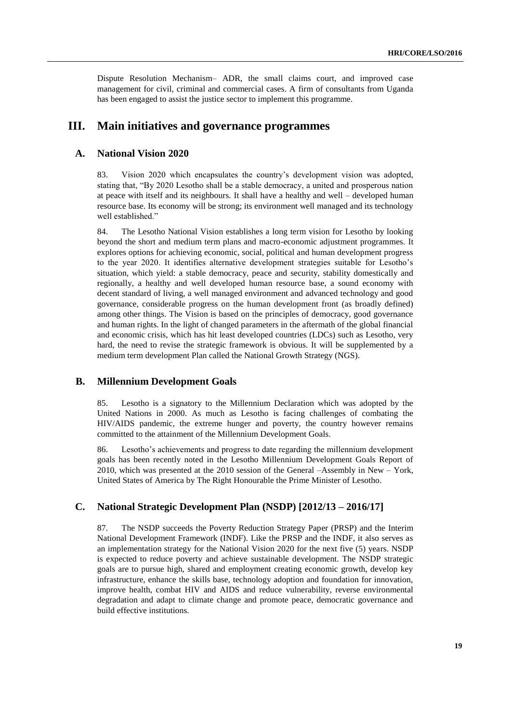Dispute Resolution Mechanism– ADR, the small claims court, and improved case management for civil, criminal and commercial cases. A firm of consultants from Uganda has been engaged to assist the justice sector to implement this programme.

# **III. Main initiatives and governance programmes**

### **A. National Vision 2020**

83. Vision 2020 which encapsulates the country's development vision was adopted, stating that, "By 2020 Lesotho shall be a stable democracy, a united and prosperous nation at peace with itself and its neighbours. It shall have a healthy and well – developed human resource base. Its economy will be strong; its environment well managed and its technology well established."

84. The Lesotho National Vision establishes a long term vision for Lesotho by looking beyond the short and medium term plans and macro-economic adjustment programmes. It explores options for achieving economic, social, political and human development progress to the year 2020. It identifies alternative development strategies suitable for Lesotho's situation, which yield: a stable democracy, peace and security, stability domestically and regionally, a healthy and well developed human resource base, a sound economy with decent standard of living, a well managed environment and advanced technology and good governance, considerable progress on the human development front (as broadly defined) among other things. The Vision is based on the principles of democracy, good governance and human rights. In the light of changed parameters in the aftermath of the global financial and economic crisis, which has hit least developed countries (LDCs) such as Lesotho, very hard, the need to revise the strategic framework is obvious. It will be supplemented by a medium term development Plan called the National Growth Strategy (NGS).

# **B. Millennium Development Goals**

85. Lesotho is a signatory to the Millennium Declaration which was adopted by the United Nations in 2000. As much as Lesotho is facing challenges of combating the HIV/AIDS pandemic, the extreme hunger and poverty, the country however remains committed to the attainment of the Millennium Development Goals.

86. Lesotho's achievements and progress to date regarding the millennium development goals has been recently noted in the Lesotho Millennium Development Goals Report of 2010, which was presented at the 2010 session of the General –Assembly in New – York, United States of America by The Right Honourable the Prime Minister of Lesotho.

# **C. National Strategic Development Plan (NSDP) [2012/13 – 2016/17]**

87. The NSDP succeeds the Poverty Reduction Strategy Paper (PRSP) and the Interim National Development Framework (INDF). Like the PRSP and the INDF, it also serves as an implementation strategy for the National Vision 2020 for the next five (5) years. NSDP is expected to reduce poverty and achieve sustainable development. The NSDP strategic goals are to pursue high, shared and employment creating economic growth, develop key infrastructure, enhance the skills base, technology adoption and foundation for innovation, improve health, combat HIV and AIDS and reduce vulnerability, reverse environmental degradation and adapt to climate change and promote peace, democratic governance and build effective institutions.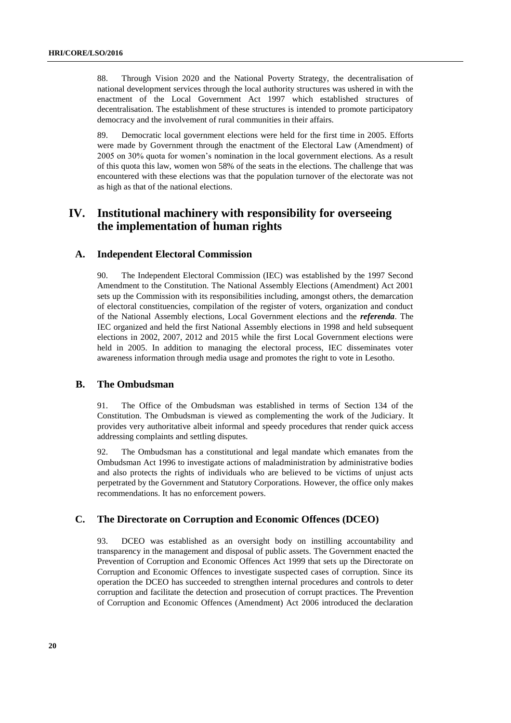88. Through Vision 2020 and the National Poverty Strategy, the decentralisation of national development services through the local authority structures was ushered in with the enactment of the Local Government Act 1997 which established structures of decentralisation. The establishment of these structures is intended to promote participatory democracy and the involvement of rural communities in their affairs.

89. Democratic local government elections were held for the first time in 2005. Efforts were made by Government through the enactment of the Electoral Law (Amendment) of 2005 on 30% quota for women's nomination in the local government elections. As a result of this quota this law, women won 58% of the seats in the elections. The challenge that was encountered with these elections was that the population turnover of the electorate was not as high as that of the national elections.

# **IV. Institutional machinery with responsibility for overseeing the implementation of human rights**

# **A. Independent Electoral Commission**

90. The Independent Electoral Commission (IEC) was established by the 1997 Second Amendment to the Constitution. The National Assembly Elections (Amendment) Act 2001 sets up the Commission with its responsibilities including, amongst others, the demarcation of electoral constituencies, compilation of the register of voters, organization and conduct of the National Assembly elections, Local Government elections and the *referenda*. The IEC organized and held the first National Assembly elections in 1998 and held subsequent elections in 2002, 2007, 2012 and 2015 while the first Local Government elections were held in 2005. In addition to managing the electoral process, IEC disseminates voter awareness information through media usage and promotes the right to vote in Lesotho.

# **B. The Ombudsman**

91. The Office of the Ombudsman was established in terms of Section 134 of the Constitution. The Ombudsman is viewed as complementing the work of the Judiciary. It provides very authoritative albeit informal and speedy procedures that render quick access addressing complaints and settling disputes.

92. The Ombudsman has a constitutional and legal mandate which emanates from the Ombudsman Act 1996 to investigate actions of maladministration by administrative bodies and also protects the rights of individuals who are believed to be victims of unjust acts perpetrated by the Government and Statutory Corporations. However, the office only makes recommendations. It has no enforcement powers.

# **C. The Directorate on Corruption and Economic Offences (DCEO)**

93. DCEO was established as an oversight body on instilling accountability and transparency in the management and disposal of public assets. The Government enacted the Prevention of Corruption and Economic Offences Act 1999 that sets up the Directorate on Corruption and Economic Offences to investigate suspected cases of corruption. Since its operation the DCEO has succeeded to strengthen internal procedures and controls to deter corruption and facilitate the detection and prosecution of corrupt practices. The Prevention of Corruption and Economic Offences (Amendment) Act 2006 introduced the declaration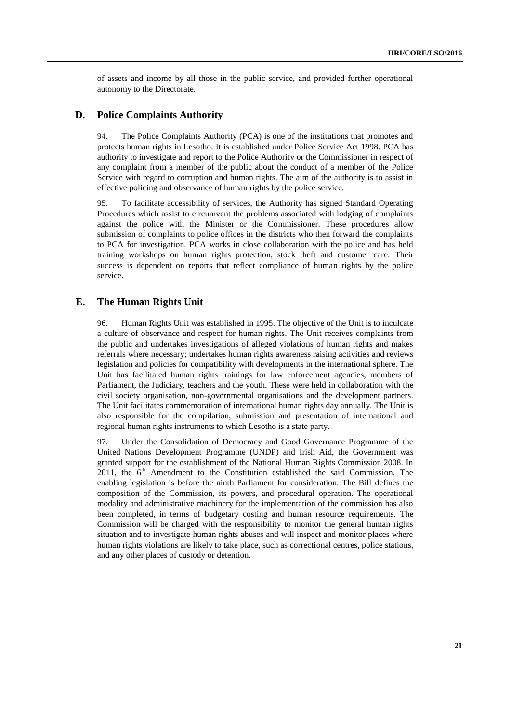of assets and income by all those in the public service, and provided further operational autonomy to the Directorate.

### **D. Police Complaints Authority**

94. The Police Complaints Authority (PCA) is one of the institutions that promotes and protects human rights in Lesotho. It is established under Police Service Act 1998. PCA has authority to investigate and report to the Police Authority or the Commissioner in respect of any complaint from a member of the public about the conduct of a member of the Police Service with regard to corruption and human rights. The aim of the authority is to assist in effective policing and observance of human rights by the police service.

95. To facilitate accessibility of services, the Authority has signed Standard Operating Procedures which assist to circumvent the problems associated with lodging of complaints against the police with the Minister or the Commissioner. These procedures allow submission of complaints to police offices in the districts who then forward the complaints to PCA for investigation. PCA works in close collaboration with the police and has held training workshops on human rights protection, stock theft and customer care. Their success is dependent on reports that reflect compliance of human rights by the police service.

# **E. The Human Rights Unit**

96. Human Rights Unit was established in 1995. The objective of the Unit is to inculcate a culture of observance and respect for human rights. The Unit receives complaints from the public and undertakes investigations of alleged violations of human rights and makes referrals where necessary; undertakes human rights awareness raising activities and reviews legislation and policies for compatibility with developments in the international sphere. The Unit has facilitated human rights trainings for law enforcement agencies, members of Parliament, the Judiciary, teachers and the youth. These were held in collaboration with the civil society organisation, non-governmental organisations and the development partners. The Unit facilitates commemoration of international human rights day annually. The Unit is also responsible for the compilation, submission and presentation of international and regional human rights instruments to which Lesotho is a state party.

97. Under the Consolidation of Democracy and Good Governance Programme of the United Nations Development Programme (UNDP) and Irish Aid, the Government was granted support for the establishment of the National Human Rights Commission 2008. In 2011, the  $6<sup>th</sup>$  Amendment to the Constitution established the said Commission. The enabling legislation is before the ninth Parliament for consideration. The Bill defines the composition of the Commission, its powers, and procedural operation. The operational modality and administrative machinery for the implementation of the commission has also been completed, in terms of budgetary costing and human resource requirements. The Commission will be charged with the responsibility to monitor the general human rights situation and to investigate human rights abuses and will inspect and monitor places where human rights violations are likely to take place, such as correctional centres, police stations, and any other places of custody or detention.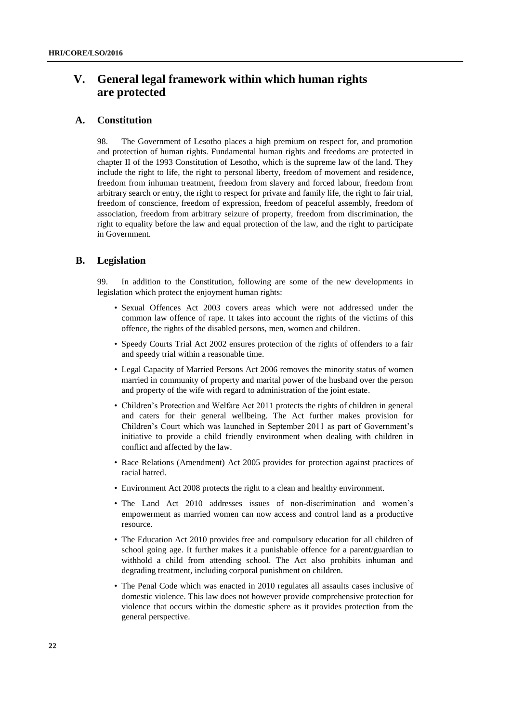# **V. General legal framework within which human rights are protected**

# **A. Constitution**

98. The Government of Lesotho places a high premium on respect for, and promotion and protection of human rights. Fundamental human rights and freedoms are protected in chapter II of the 1993 Constitution of Lesotho, which is the supreme law of the land. They include the right to life, the right to personal liberty, freedom of movement and residence, freedom from inhuman treatment, freedom from slavery and forced labour, freedom from arbitrary search or entry, the right to respect for private and family life, the right to fair trial, freedom of conscience, freedom of expression, freedom of peaceful assembly, freedom of association, freedom from arbitrary seizure of property, freedom from discrimination, the right to equality before the law and equal protection of the law, and the right to participate in Government.

### **B. Legislation**

99. In addition to the Constitution, following are some of the new developments in legislation which protect the enjoyment human rights:

- Sexual Offences Act 2003 covers areas which were not addressed under the common law offence of rape. It takes into account the rights of the victims of this offence, the rights of the disabled persons, men, women and children.
- Speedy Courts Trial Act 2002 ensures protection of the rights of offenders to a fair and speedy trial within a reasonable time.
- Legal Capacity of Married Persons Act 2006 removes the minority status of women married in community of property and marital power of the husband over the person and property of the wife with regard to administration of the joint estate.
- Children's Protection and Welfare Act 2011 protects the rights of children in general and caters for their general wellbeing. The Act further makes provision for Children's Court which was launched in September 2011 as part of Government's initiative to provide a child friendly environment when dealing with children in conflict and affected by the law.
- Race Relations (Amendment) Act 2005 provides for protection against practices of racial hatred.
- Environment Act 2008 protects the right to a clean and healthy environment.
- The Land Act 2010 addresses issues of non-discrimination and women's empowerment as married women can now access and control land as a productive resource.
- The Education Act 2010 provides free and compulsory education for all children of school going age. It further makes it a punishable offence for a parent/guardian to withhold a child from attending school. The Act also prohibits inhuman and degrading treatment, including corporal punishment on children.
- The Penal Code which was enacted in 2010 regulates all assaults cases inclusive of domestic violence. This law does not however provide comprehensive protection for violence that occurs within the domestic sphere as it provides protection from the general perspective.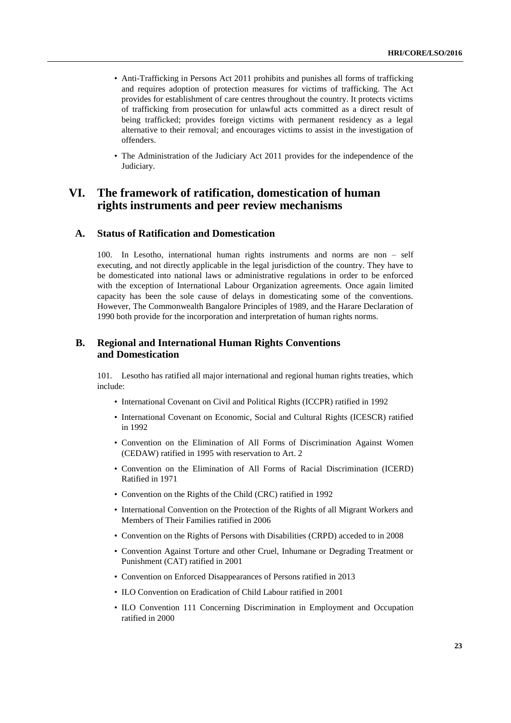- Anti-Trafficking in Persons Act 2011 prohibits and punishes all forms of trafficking and requires adoption of protection measures for victims of trafficking. The Act provides for establishment of care centres throughout the country. It protects victims of trafficking from prosecution for unlawful acts committed as a direct result of being trafficked; provides foreign victims with permanent residency as a legal alternative to their removal; and encourages victims to assist in the investigation of offenders.
- The Administration of the Judiciary Act 2011 provides for the independence of the Judiciary.

# **VI. The framework of ratification, domestication of human rights instruments and peer review mechanisms**

### **A. Status of Ratification and Domestication**

100. In Lesotho, international human rights instruments and norms are non – self executing, and not directly applicable in the legal jurisdiction of the country. They have to be domesticated into national laws or administrative regulations in order to be enforced with the exception of International Labour Organization agreements. Once again limited capacity has been the sole cause of delays in domesticating some of the conventions. However, The Commonwealth Bangalore Principles of 1989, and the Harare Declaration of 1990 both provide for the incorporation and interpretation of human rights norms.

# **B. Regional and International Human Rights Conventions and Domestication**

101. Lesotho has ratified all major international and regional human rights treaties, which include:

- International Covenant on Civil and Political Rights (ICCPR) ratified in 1992
- International Covenant on Economic, Social and Cultural Rights (ICESCR) ratified in 1992
- Convention on the Elimination of All Forms of Discrimination Against Women (CEDAW) ratified in 1995 with reservation to Art. 2
- Convention on the Elimination of All Forms of Racial Discrimination (ICERD) Ratified in 1971
- Convention on the Rights of the Child (CRC) ratified in 1992
- International Convention on the Protection of the Rights of all Migrant Workers and Members of Their Families ratified in 2006
- Convention on the Rights of Persons with Disabilities (CRPD) acceded to in 2008
- Convention Against Torture and other Cruel, Inhumane or Degrading Treatment or Punishment (CAT) ratified in 2001
- Convention on Enforced Disappearances of Persons ratified in 2013
- ILO Convention on Eradication of Child Labour ratified in 2001
- ILO Convention 111 Concerning Discrimination in Employment and Occupation ratified in 2000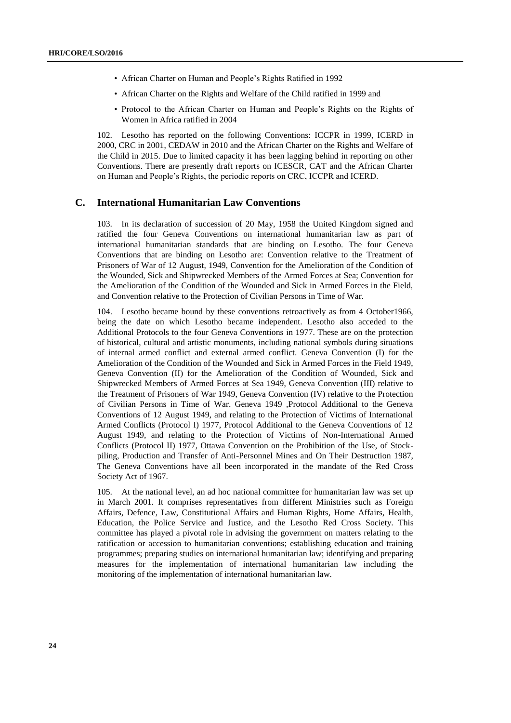- African Charter on Human and People's Rights Ratified in 1992
- African Charter on the Rights and Welfare of the Child ratified in 1999 and
- Protocol to the African Charter on Human and People's Rights on the Rights of Women in Africa ratified in 2004

102. Lesotho has reported on the following Conventions: ICCPR in 1999, ICERD in 2000, CRC in 2001, CEDAW in 2010 and the African Charter on the Rights and Welfare of the Child in 2015. Due to limited capacity it has been lagging behind in reporting on other Conventions. There are presently draft reports on ICESCR, CAT and the African Charter on Human and People's Rights, the periodic reports on CRC, ICCPR and ICERD.

# **C. International Humanitarian Law Conventions**

103. In its declaration of succession of 20 May, 1958 the United Kingdom signed and ratified the four Geneva Conventions on international humanitarian law as part of international humanitarian standards that are binding on Lesotho. The four Geneva Conventions that are binding on Lesotho are: Convention relative to the Treatment of Prisoners of War of 12 August, 1949, Convention for the Amelioration of the Condition of the Wounded, Sick and Shipwrecked Members of the Armed Forces at Sea; Convention for the Amelioration of the Condition of the Wounded and Sick in Armed Forces in the Field, and Convention relative to the Protection of Civilian Persons in Time of War.

104. Lesotho became bound by these conventions retroactively as from 4 October1966, being the date on which Lesotho became independent. Lesotho also acceded to the Additional Protocols to the four Geneva Conventions in 1977. These are on the protection of historical, cultural and artistic monuments, including national symbols during situations of internal armed conflict and external armed conflict. Geneva Convention (I) for the Amelioration of the Condition of the Wounded and Sick in Armed Forces in the Field 1949, Geneva Convention (II) for the Amelioration of the Condition of Wounded, Sick and Shipwrecked Members of Armed Forces at Sea 1949, Geneva Convention (III) relative to the Treatment of Prisoners of War 1949, Geneva Convention (IV) relative to the Protection of Civilian Persons in Time of War. Geneva 1949 ,Protocol Additional to the Geneva Conventions of 12 August 1949, and relating to the Protection of Victims of International Armed Conflicts (Protocol I) 1977, Protocol Additional to the Geneva Conventions of 12 August 1949, and relating to the Protection of Victims of Non-International Armed Conflicts (Protocol II) 1977, Ottawa Convention on the Prohibition of the Use, of Stockpiling, Production and Transfer of Anti-Personnel Mines and On Their Destruction 1987, The Geneva Conventions have all been incorporated in the mandate of the Red Cross Society Act of 1967.

105. At the national level, an ad hoc national committee for humanitarian law was set up in March 2001. It comprises representatives from different Ministries such as Foreign Affairs, Defence, Law, Constitutional Affairs and Human Rights, Home Affairs, Health, Education, the Police Service and Justice, and the Lesotho Red Cross Society. This committee has played a pivotal role in advising the government on matters relating to the ratification or accession to humanitarian conventions; establishing education and training programmes; preparing studies on international humanitarian law; identifying and preparing measures for the implementation of international humanitarian law including the monitoring of the implementation of international humanitarian law.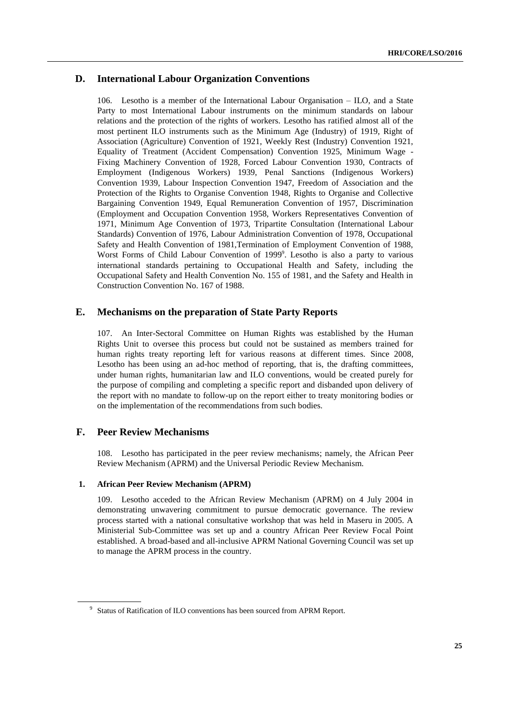# **D. International Labour Organization Conventions**

106. Lesotho is a member of the International Labour Organisation – ILO, and a State Party to most International Labour instruments on the minimum standards on labour relations and the protection of the rights of workers. Lesotho has ratified almost all of the most pertinent ILO instruments such as the Minimum Age (Industry) of 1919, Right of Association (Agriculture) Convention of 1921, Weekly Rest (Industry) Convention 1921, Equality of Treatment (Accident Compensation) Convention 1925, Minimum Wage - Fixing Machinery Convention of 1928, Forced Labour Convention 1930, Contracts of Employment (Indigenous Workers) 1939, Penal Sanctions (Indigenous Workers) Convention 1939, Labour Inspection Convention 1947, Freedom of Association and the Protection of the Rights to Organise Convention 1948, Rights to Organise and Collective Bargaining Convention 1949, Equal Remuneration Convention of 1957, Discrimination (Employment and Occupation Convention 1958, Workers Representatives Convention of 1971, Minimum Age Convention of 1973, Tripartite Consultation (International Labour Standards) Convention of 1976, Labour Administration Convention of 1978, Occupational Safety and Health Convention of 1981,Termination of Employment Convention of 1988, Worst Forms of Child Labour Convention of 1999<sup>9</sup>. Lesotho is also a party to various international standards pertaining to Occupational Health and Safety, including the Occupational Safety and Health Convention No. 155 of 1981, and the Safety and Health in Construction Convention No. 167 of 1988.

# **E. Mechanisms on the preparation of State Party Reports**

107. An Inter-Sectoral Committee on Human Rights was established by the Human Rights Unit to oversee this process but could not be sustained as members trained for human rights treaty reporting left for various reasons at different times. Since 2008, Lesotho has been using an ad-hoc method of reporting, that is, the drafting committees, under human rights, humanitarian law and ILO conventions, would be created purely for the purpose of compiling and completing a specific report and disbanded upon delivery of the report with no mandate to follow-up on the report either to treaty monitoring bodies or on the implementation of the recommendations from such bodies.

# **F. Peer Review Mechanisms**

108. Lesotho has participated in the peer review mechanisms; namely, the African Peer Review Mechanism (APRM) and the Universal Periodic Review Mechanism.

#### **1. African Peer Review Mechanism (APRM)**

109. Lesotho acceded to the African Review Mechanism (APRM) on 4 July 2004 in demonstrating unwavering commitment to pursue democratic governance. The review process started with a national consultative workshop that was held in Maseru in 2005. A Ministerial Sub-Committee was set up and a country African Peer Review Focal Point established. A broad-based and all-inclusive APRM National Governing Council was set up to manage the APRM process in the country.

<sup>&</sup>lt;sup>9</sup> Status of Ratification of ILO conventions has been sourced from APRM Report.